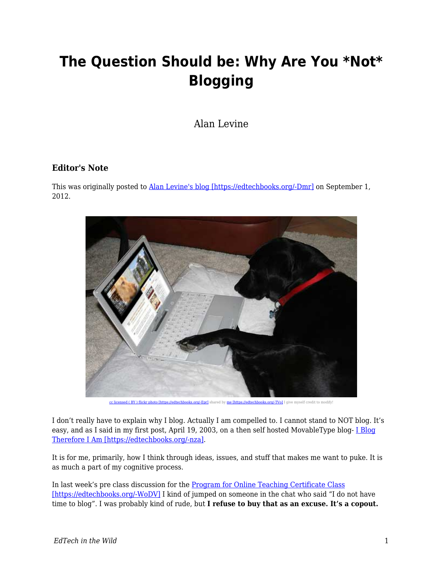## **The Question Should be: Why Are You \*Not\* Blogging**

Alan Levine

## **Editor's Note**

This was originally posted to **Alan Levine's blog [https://edtechbooks.org/-Dmr]** on September 1, 2012.



**budiechbooks.org/-TVol** I give myself credit to modify!

I don't really have to explain why I blog. Actually I am compelled to. I cannot stand to NOT blog. It's easy, and as I said in my first post, April 19, 2003, on a then self hosted MovableType blog- [I Blog](https://cogdogblog.com/2003/04/19/i-blog/) [Therefore I Am \[https://edtechbooks.org/-nza\].](https://cogdogblog.com/2003/04/19/i-blog/)

It is for me, primarily, how I think through ideas, issues, and stuff that makes me want to puke. It is as much a part of my cognitive process.

In last week's pre class discussion for the [Program for Online Teaching Certificate Class](https://edtechbooks.org/pedagogyfirst.org/wppf12) [\[https://edtechbooks.org/-WoDV\]](https://edtechbooks.org/pedagogyfirst.org/wppf12) I kind of jumped on someone in the chat who said "I do not have time to blog". I was probably kind of rude, but **I refuse to buy that as an excuse. It's a copout.**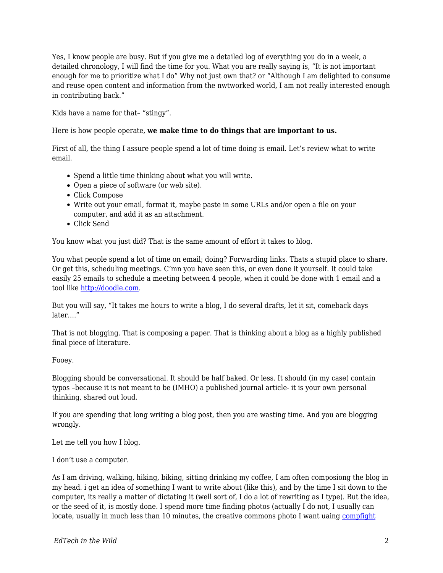Yes, I know people are busy. But if you give me a detailed log of everything you do in a week, a detailed chronology, I will find the time for you. What you are really saying is, "It is not important enough for me to prioritize what I do" Why not just own that? or "Although I am delighted to consume and reuse open content and information from the nwtworked world, I am not really interested enough in contributing back."

Kids have a name for that– "stingy".

Here is how people operate, **we make time to do things that are important to us.**

First of all, the thing I assure people spend a lot of time doing is email. Let's review what to write email.

- Spend a little time thinking about what you will write.
- Open a piece of software (or web site).
- Click Compose
- Write out your email, format it, maybe paste in some URLs and/or open a file on your computer, and add it as an attachment.
- Click Send

You know what you just did? That is the same amount of effort it takes to blog.

You what people spend a lot of time on email; doing? Forwarding links. Thats a stupid place to share. Or get this, scheduling meetings. C'mn you have seen this, or even done it yourself. It could take easily 25 emails to schedule a meeting between 4 people, when it could be done with 1 email and a tool like [http://doodle.com.](http://doodle.com)

But you will say, "It takes me hours to write a blog, I do several drafts, let it sit, comeback days later…."

That is not blogging. That is composing a paper. That is thinking about a blog as a highly published final piece of literature.

Fooey.

Blogging should be conversational. It should be half baked. Or less. It should (in my case) contain typos –because it is not meant to be (IMHO) a published journal article- it is your own personal thinking, shared out loud.

If you are spending that long writing a blog post, then you are wasting time. And you are blogging wrongly.

Let me tell you how I blog.

I don't use a computer.

As I am driving, walking, hiking, biking, sitting drinking my coffee, I am often composiong the blog in my head. i get an idea of something I want to write about (like this), and by the time I sit down to the computer, its really a matter of dictating it (well sort of, I do a lot of rewriting as I type). But the idea, or the seed of it, is mostly done. I spend more time finding photos (actually I do not, I usually can locate, usually in much less than 10 minutes, the creative commons photo I want uaing [compfight](http://compfight.com/)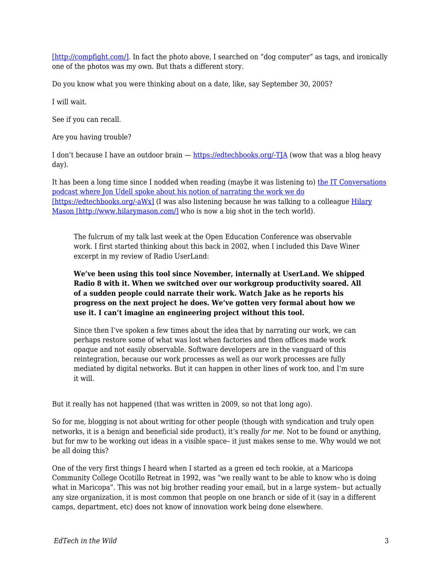[\[http://compfight.com/\].](http://compfight.com/) In fact the photo above, I searched on "dog computer" as tags, and ironically one of the photos was my own. But thats a different story.

Do you know what you were thinking about on a date, like, say September 30, 2005?

I will wait.

See if you can recall.

Are you having trouble?

I don't because I have an outdoor brain — [https://edtechbooks.org/-TJA](https://cogdogblog.com/2005/09/30/) (wow that was a blog heavy day).

It has been a long time since I nodded when reading (maybe it was listening to) [the IT Conversations](http://blog.jonudell.net/2009/04/28/data-driven-career-discovery/) [podcast where Jon Udell spoke about his notion of narrating the work we do](http://blog.jonudell.net/2009/04/28/data-driven-career-discovery/) [\[https://edtechbooks.org/-aWx\]](http://blog.jonudell.net/2009/04/28/data-driven-career-discovery/) (I was also listening because he was talking to a colleague [Hilary](http://www.hilarymason.com/) [Mason \[http://www.hilarymason.com/\]](http://www.hilarymason.com/) who is now a big shot in the tech world).

The fulcrum of my talk last week at the Open Education Conference was observable work. I first started thinking about this back in 2002, when I included this Dave Winer excerpt in my review of Radio UserLand:

## **We've been using this tool since November, internally at UserLand. We shipped Radio 8 with it. When we switched over our workgroup productivity soared. All of a sudden people could narrate their work. Watch Jake as he reports his progress on the next project he does. We've gotten very formal about how we use it. I can't imagine an engineering project without this tool.**

Since then I've spoken a few times about the idea that by narrating our work, we can perhaps restore some of what was lost when factories and then offices made work opaque and not easily observable. Software developers are in the vanguard of this reintegration, because our work processes as well as our work processes are fully mediated by digital networks. But it can happen in other lines of work too, and I'm sure it will.

But it really has not happened (that was written in 2009, so not that long ago).

So for me, blogging is not about writing for other people (though with syndication and truly open networks, it is a benign and beneficial side product), it's really *for me*. Not to be found or anything, but for mw to be working out ideas in a visible space– it just makes sense to me. Why would we not be all doing this?

One of the very first things I heard when I started as a green ed tech rookie, at a Maricopa Community College Ocotillo Retreat in 1992, was "we really want to be able to know who is doing what in Maricopa". This was not big brother reading your email, but in a large system– but actually any size organization, it is most common that people on one branch or side of it (say in a different camps, department, etc) does not know of innovation work being done elsewhere.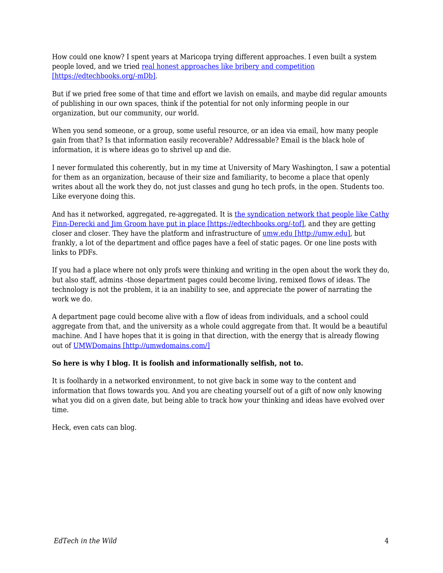How could one know? I spent years at Maricopa trying different approaches. I even built a system people loved, and we tried [real honest approaches like bribery and competition](http://www.mcli.dist.maricopa.edu/show/league2003/mlx.html) [\[https://edtechbooks.org/-mDb\].](http://www.mcli.dist.maricopa.edu/show/league2003/mlx.html)

But if we pried free some of that time and effort we lavish on emails, and maybe did regular amounts of publishing in our own spaces, think if the potential for not only informing people in our organization, but our community, our world.

When you send someone, or a group, some useful resource, or an idea via email, how many people gain from that? Is that information easily recoverable? Addressable? Email is the black hole of information, it is where ideas go to shrivel up and die.

I never formulated this coherently, but in my time at University of Mary Washington, I saw a potential for them as an organization, because of their size and familiarity, to become a place that openly writes about all the work they do, not just classes and gung ho tech profs, in the open. Students too. Like everyone doing this.

And has it networked, aggregated, re-aggregated. It is [the syndication network that people like Cathy](http://bavatuesdays.com/the-state-of-aggregation-at-umw/) [Finn-Derecki and Jim Groom have put in place \[https://edtechbooks.org/-tof\]](http://bavatuesdays.com/the-state-of-aggregation-at-umw/), and they are getting closer and closer. They have the platform and infrastructure of [umw.edu \[http://umw.edu\]](http://umw.edu), but frankly, a lot of the department and office pages have a feel of static pages. Or one line posts with links to PDFs.

If you had a place where not only profs were thinking and writing in the open about the work they do, but also staff, admins -those department pages could become living, remixed flows of ideas. The technology is not the problem, it ia an inability to see, and appreciate the power of narrating the work we do.

A department page could become alive with a flow of ideas from individuals, and a school could aggregate from that, and the university as a whole could aggregate from that. It would be a beautiful machine. And I have hopes that it is going in that direction, with the energy that is already flowing out of [UMWDomains \[http://umwdomains.com/\]](http://umwdomains.com/)

## **So here is why I blog. It is foolish and informationally selfish, not to.**

It is foolhardy in a networked environment, to not give back in some way to the content and information that flows towards you. And you are cheating yourself out of a gift of now only knowing what you did on a given date, but being able to track how your thinking and ideas have evolved over time.

Heck, even cats can blog.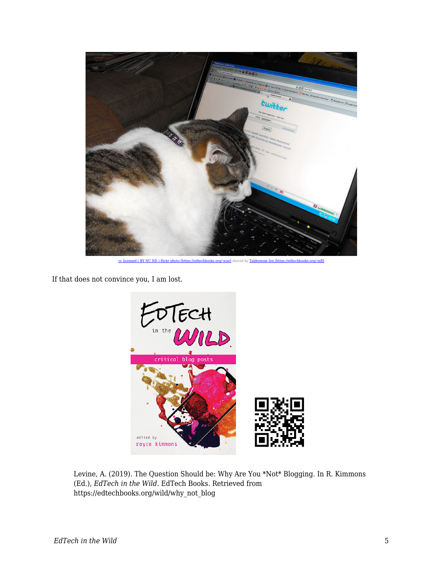

[cc licensed \( BY NC ND \) flickr photo \[https://edtechbooks.org/-wue\]](http://flickr.com/photos/lambj/3457510870/) shared by [Tabbymom Jen \[https://edtechbooks.org/-inB\]](http://flickr.com/people/lambj/)

If that does not convince you, I am lost.



Levine, A. (2019). The Question Should be: Why Are You \*Not\* Blogging. In R. Kimmons (Ed.), *EdTech in the Wild*. EdTech Books. Retrieved from https://edtechbooks.org/wild/why\_not\_blog